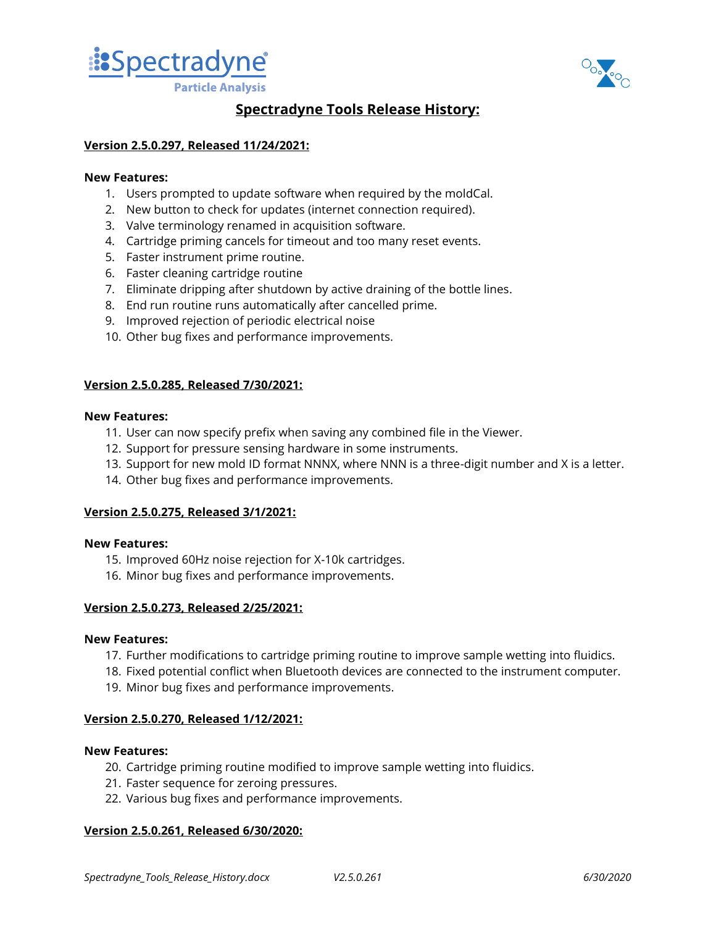



# **Spectradyne Tools Release History:**

### **Version 2.5.0.297, Released 11/24/2021:**

#### **New Features:**

- 1. Users prompted to update software when required by the moldCal.
- 2. New button to check for updates (internet connection required).
- 3. Valve terminology renamed in acquisition software.
- 4. Cartridge priming cancels for timeout and too many reset events.
- 5. Faster instrument prime routine.
- 6. Faster cleaning cartridge routine
- 7. Eliminate dripping after shutdown by active draining of the bottle lines.
- 8. End run routine runs automatically after cancelled prime.
- 9. Improved rejection of periodic electrical noise
- 10. Other bug fixes and performance improvements.

# **Version 2.5.0.285, Released 7/30/2021:**

### **New Features:**

- 11. User can now specify prefix when saving any combined file in the Viewer.
- 12. Support for pressure sensing hardware in some instruments.
- 13. Support for new mold ID format NNNX, where NNN is a three-digit number and X is a letter.
- 14. Other bug fixes and performance improvements.

# **Version 2.5.0.275, Released 3/1/2021:**

#### **New Features:**

- 15. Improved 60Hz noise rejection for X-10k cartridges.
- 16. Minor bug fixes and performance improvements.

# **Version 2.5.0.273, Released 2/25/2021:**

#### **New Features:**

- 17. Further modifications to cartridge priming routine to improve sample wetting into fluidics.
- 18. Fixed potential conflict when Bluetooth devices are connected to the instrument computer.
- 19. Minor bug fixes and performance improvements.

# **Version 2.5.0.270, Released 1/12/2021:**

#### **New Features:**

- 20. Cartridge priming routine modified to improve sample wetting into fluidics.
- 21. Faster sequence for zeroing pressures.
- 22. Various bug fixes and performance improvements.

# **Version 2.5.0.261, Released 6/30/2020:**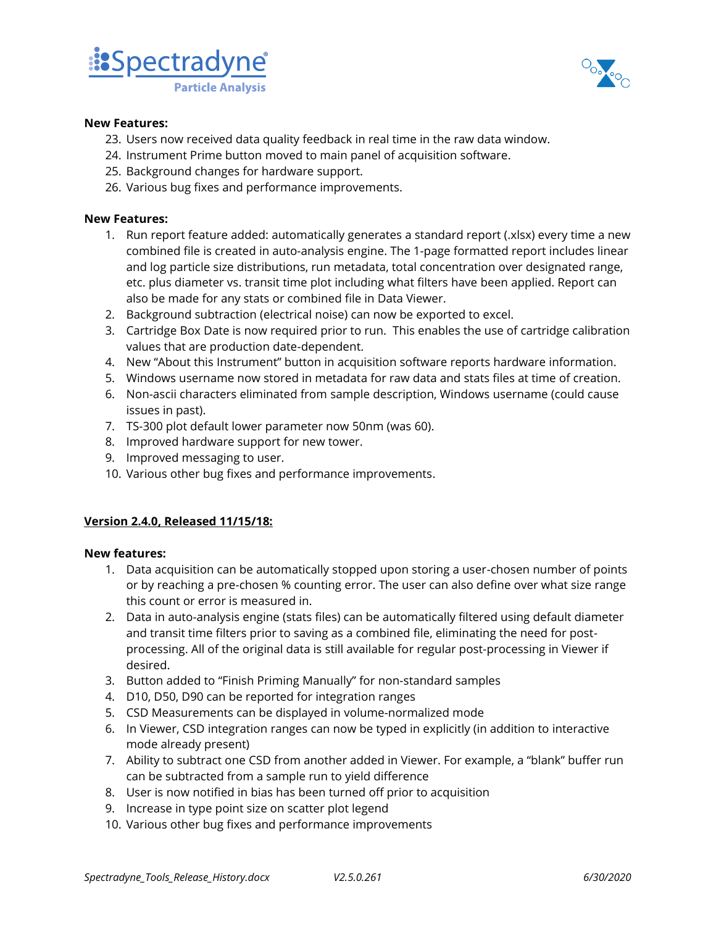



### **New Features:**

- 23. Users now received data quality feedback in real time in the raw data window.
- 24. Instrument Prime button moved to main panel of acquisition software.
- 25. Background changes for hardware support.
- 26. Various bug fixes and performance improvements.

### **New Features:**

- 1. Run report feature added: automatically generates a standard report (.xlsx) every time a new combined file is created in auto-analysis engine. The 1-page formatted report includes linear and log particle size distributions, run metadata, total concentration over designated range, etc. plus diameter vs. transit time plot including what filters have been applied. Report can also be made for any stats or combined file in Data Viewer.
- 2. Background subtraction (electrical noise) can now be exported to excel.
- 3. Cartridge Box Date is now required prior to run. This enables the use of cartridge calibration values that are production date-dependent.
- 4. New "About this Instrument" button in acquisition software reports hardware information.
- 5. Windows username now stored in metadata for raw data and stats files at time of creation.
- 6. Non-ascii characters eliminated from sample description, Windows username (could cause issues in past).
- 7. TS-300 plot default lower parameter now 50nm (was 60).
- 8. Improved hardware support for new tower.
- 9. Improved messaging to user.
- 10. Various other bug fixes and performance improvements.

# **Version 2.4.0, Released 11/15/18:**

### **New features:**

- 1. Data acquisition can be automatically stopped upon storing a user-chosen number of points or by reaching a pre-chosen % counting error. The user can also define over what size range this count or error is measured in.
- 2. Data in auto-analysis engine (stats files) can be automatically filtered using default diameter and transit time filters prior to saving as a combined file, eliminating the need for postprocessing. All of the original data is still available for regular post-processing in Viewer if desired.
- 3. Button added to "Finish Priming Manually" for non-standard samples
- 4. D10, D50, D90 can be reported for integration ranges
- 5. CSD Measurements can be displayed in volume-normalized mode
- 6. In Viewer, CSD integration ranges can now be typed in explicitly (in addition to interactive mode already present)
- 7. Ability to subtract one CSD from another added in Viewer. For example, a "blank" buffer run can be subtracted from a sample run to yield difference
- 8. User is now notified in bias has been turned off prior to acquisition
- 9. Increase in type point size on scatter plot legend
- 10. Various other bug fixes and performance improvements